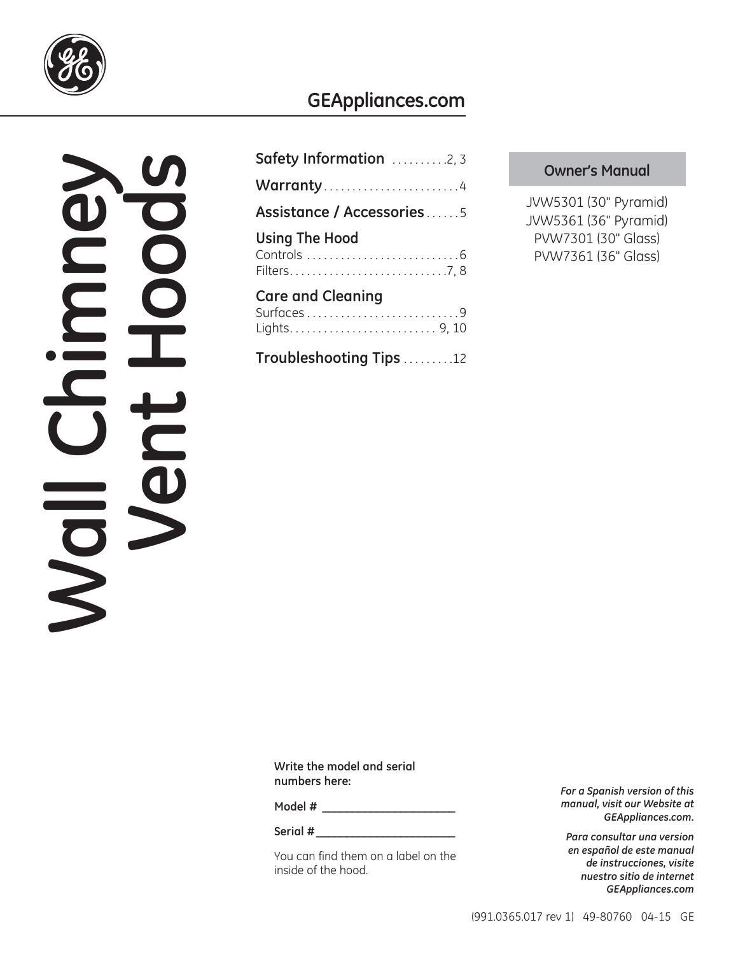

### **GEAppliances.com**

# **Window**

| Safety Information 2, 3               |
|---------------------------------------|
| Warranty4                             |
| Assistance / Accessories5             |
| <b>Using The Hood</b>                 |
| <b>Care and Cleaning</b><br>Surfaces9 |

**Troubleshooting Tips** . . . . . . . . .12

### **Owner's Manual**

JVW5301 (30" Pyramid) JVW5361 (36" Pyramid) PVW7301 (30" Glass) PVW7361 (36" Glass)

**Write the model and serial numbers here:**

**Model # \_\_\_\_\_\_\_\_\_\_\_\_\_\_\_\_\_\_\_\_\_\_**

Serial #

You can find them on a label on the inside of the hood.

*For a Spanish version of this manual, visit our Website at GEAppliances.com.*

*Para consultar una version en español de este manual de instrucciones, visite nuestro sitio de internet GEAppliances.com*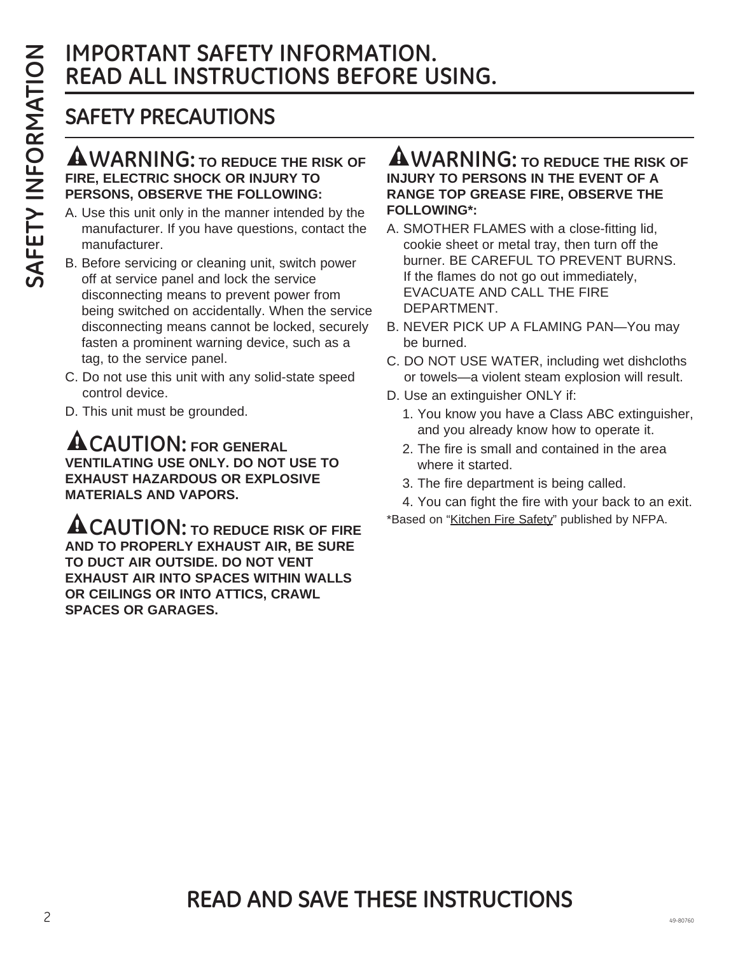### **IMPORTANT SAFETY INFORMATION. READ ALL INSTRUCTIONS BEFORE USING.**

### **SAFETY PRECAUTIONS**

### **WARNING: TO REDUCE THE RISK OF FIRE, ELECTRIC SHOCK OR INJURY TO PERSONS, OBSERVE THE FOLLOWING:**

- A. Use this unit only in the manner intended by the manufacturer. If you have questions, contact the manufacturer.
- B. Before servicing or cleaning unit, switch power off at service panel and lock the service disconnecting means to prevent power from being switched on accidentally. When the service disconnecting means cannot be locked, securely fasten a prominent warning device, such as a tag, to the service panel.
- C. Do not use this unit with any solid-state speed control device.
- D. This unit must be grounded.

**CAUTION: FOR GENERAL VENTILATING USE ONLY. DO NOT USE TO EXHAUST HAZARDOUS OR EXPLOSIVE MATERIALS AND VAPORS.**

**ACAUTION:** TO REDUCE RISK OF FIRE **AND TO PROPERLY EXHAUST AIR, BE SURE TO DUCT AIR OUTSIDE. DO NOT VENT EXHAUST AIR INTO SPACES WITHIN WALLS OR CEILINGS OR INTO ATTICS, CRAWL SPACES OR GARAGES.**

### **WARNING: TO REDUCE THE RISK OF INJURY TO PERSONS IN THE EVENT OF A RANGE TOP GREASE FIRE, OBSERVE THE FOLLOWING\*:**

- A. SMOTHER FLAMES with a close-fitting lid, cookie sheet or metal tray, then turn off the burner. BE CAREFUL TO PREVENT BURNS. If the flames do not go out immediately, EVACUATE AND CALL THE FIRE DEPARTMENT.
- B. NEVER PICK UP A FLAMING PAN—You may be burned.
- C. DO NOT USE WATER, including wet dishcloths or towels—a violent steam explosion will result.
- D. Use an extinguisher ONLY if:
	- 1. You know you have a Class ABC extinguisher, and you already know how to operate it.
	- 2. The fire is small and contained in the area where it started.
	- 3. The fire department is being called.

4. You can fight the fire with your back to an exit. \*Based on "Kitchen Fire Safety" published by NFPA.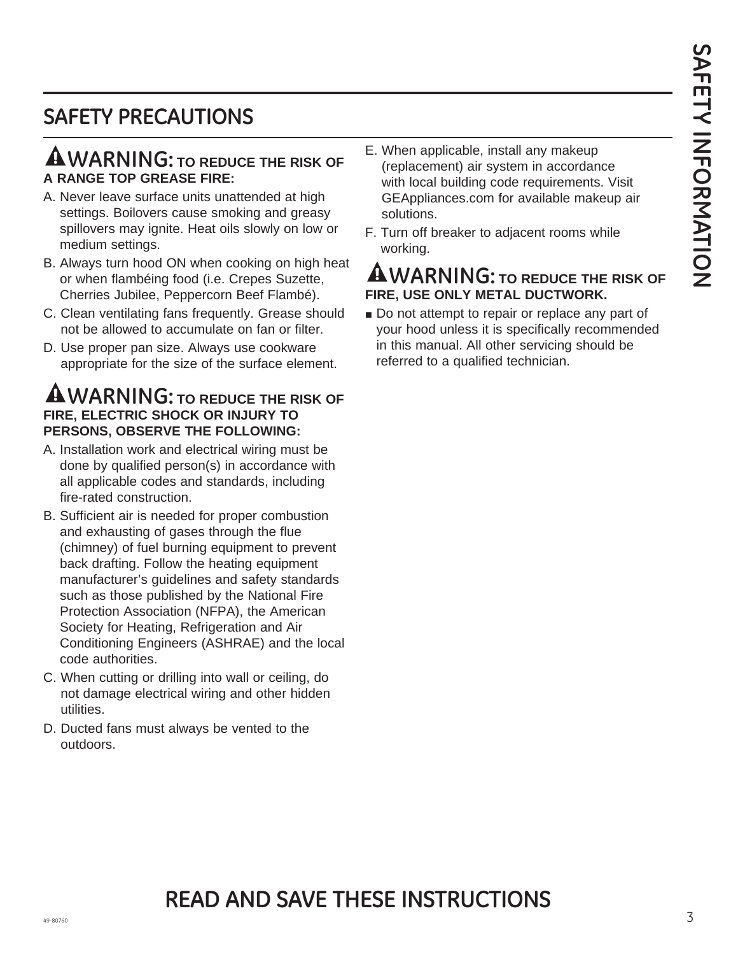### **SAFETY PRECAUTIONS**

### **WARNING: TO REDUCE THE RISK OF A RANGE TOP GREASE FIRE:**

- A. Never leave surface units unattended at high settings. Boilovers cause smoking and greasy spillovers may ignite. Heat oils slowly on low or medium settings.
- B. Always turn hood ON when cooking on high heat or when flambéing food (i.e. Crepes Suzette, Cherries Jubilee, Peppercorn Beef Flambé).
- C. Clean ventilating fans frequently. Grease should not be allowed to accumulate on fan or filter.
- D. Use proper pan size. Always use cookware appropriate for the size of the surface element.

### **WARNING: TO REDUCE THE RISK OF FIRE, ELECTRIC SHOCK OR INJURY TO PERSONS, OBSERVE THE FOLLOWING:**

- A. Installation work and electrical wiring must be done by qualified person(s) in accordance with all applicable codes and standards, including fire-rated construction.
- B. Sufficient air is needed for proper combustion and exhausting of gases through the flue (chimney) of fuel burning equipment to prevent back drafting. Follow the heating equipment manufacturer's guidelines and safety standards such as those published by the National Fire Protection Association (NFPA), the American Society for Heating, Refrigeration and Air Conditioning Engineers (ASHRAE) and the local code authorities.
- C. When cutting or drilling into wall or ceiling, do not damage electrical wiring and other hidden utilities.
- D. Ducted fans must always be vented to the outdoors.
- E. When applicable, install any makeup (replacement) air system in accordance with local building code requirements. Visit GEAppliances.com for available makeup air solutions.
- F. Turn off breaker to adjacent rooms while working.

### **WARNING: TO REDUCE THE RISK OF FIRE, USE ONLY METAL DUCTWORK.**

Do not attempt to repair or replace any part of your hood unless it is specifically recommended in this manual. All other servicing should be referred to a qualified technician.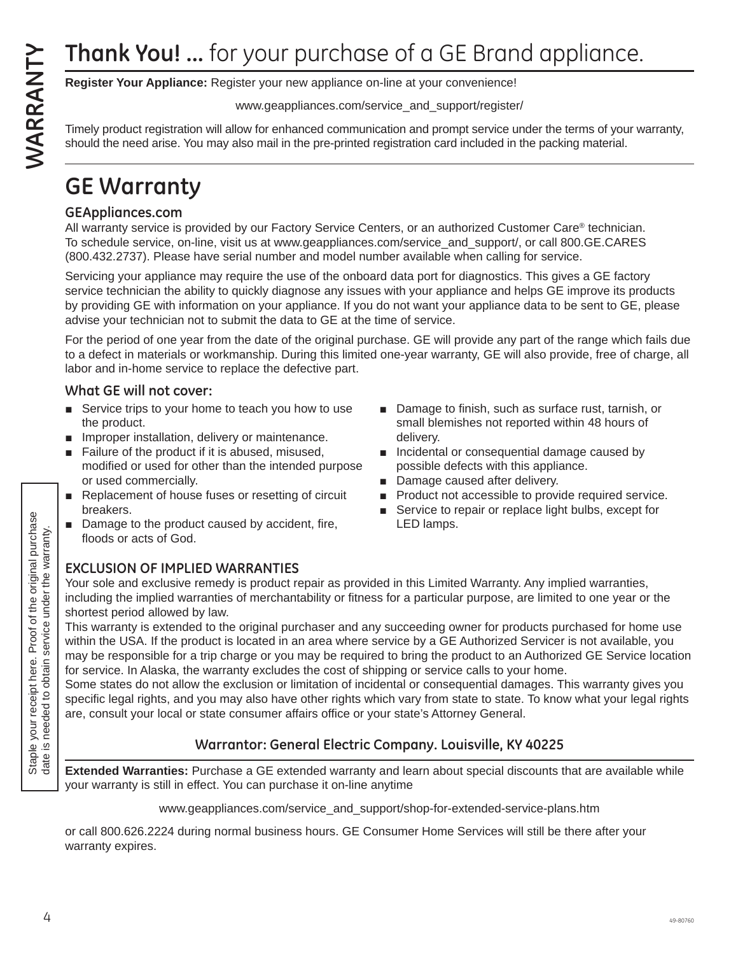**Register Your Appliance:** Register your new appliance on-line at your convenience!

www.geappliances.com/service\_and\_support/register/

Timely product registration will allow for enhanced communication and prompt service under the terms of your warranty, should the need arise. You may also mail in the pre-printed registration card included in the packing material.

### **GE Warranty**

### **GEAppliances.com**

All warranty service is provided by our Factory Service Centers, or an authorized Customer Care® technician. To schedule service, on-line, visit us at www.geappliances.com/service\_and\_support/, or call 800.GE.CARES (800.432.2737). Please have serial number and model number available when calling for service.

Servicing your appliance may require the use of the onboard data port for diagnostics. This gives a GE factory service technician the ability to quickly diagnose any issues with your appliance and helps GE improve its products by providing GE with information on your appliance. If you do not want your appliance data to be sent to GE, please advise your technician not to submit the data to GE at the time of service. **Thank You!** ... for your purchase of a GE Brand applicance.<br> **Example is not a propriate control allows to the warranty applies conservice, and supportingister'<br>
and the main service under the warranty of the warranty of** 

For the period of one year from the date of the original purchase. GE will provide any part of the range which fails due to a defect in materials or workmanship. During this limited one-year warranty, GE will also provide, free of charge, all labor and in-home service to replace the defective part.

### **What GE will not cover:**

- $\blacksquare$  Service trips to your home to teach you how to use the product.
- $\blacksquare$  Improper installation, delivery or maintenance.
- $\blacksquare$  Failure of the product if it is abused, misused, modified or used for other than the intended purpose or used commercially.
- $\blacksquare$  Replacement of house fuses or resetting of circuit breakers.
- Damage to the product caused by accident, fire, floods or acts of God.
- $\Box$  Damage to finish, such as surface rust, tarnish, or small blemishes not reported within 48 hours of delivery.
- $\blacksquare$  Incidental or consequential damage caused by possible defects with this appliance.
- Damage caused after delivery.
- $\blacksquare$  Product not accessible to provide required service.
- Service to repair or replace light bulbs, except for LED lamps.

### **EXCLUSION OF IMPLIED WARRANTIES**

Your sole and exclusive remedy is product repair as provided in this Limited Warranty. Any implied warranties, including the implied warranties of merchantability or fitness for a particular purpose, are limited to one year or the shortest period allowed by law.

This warranty is extended to the original purchaser and any succeeding owner for products purchased for home use within the USA. If the product is located in an area where service by a GE Authorized Servicer is not available, you may be responsible for a trip charge or you may be required to bring the product to an Authorized GE Service location for service. In Alaska, the warranty excludes the cost of shipping or service calls to your home.

Some states do not allow the exclusion or limitation of incidental or consequential damages. This warranty gives you specific legal rights, and you may also have other rights which vary from state to state. To know what your legal rights are, consult your local or state consumer affairs office or your state's Attorney General.

### **Warrantor: General Electric Company. Louisville, KY 40225**

**Extended Warranties:** Purchase a GE extended warranty and learn about special discounts that are available while your warranty is still in effect. You can purchase it on-line anytime

www.geappliances.com/service\_and\_support/shop-for-extended-service-plans.htm

or call 800.626.2224 during normal business hours. GE Consumer Home Services will still be there after your warranty expires.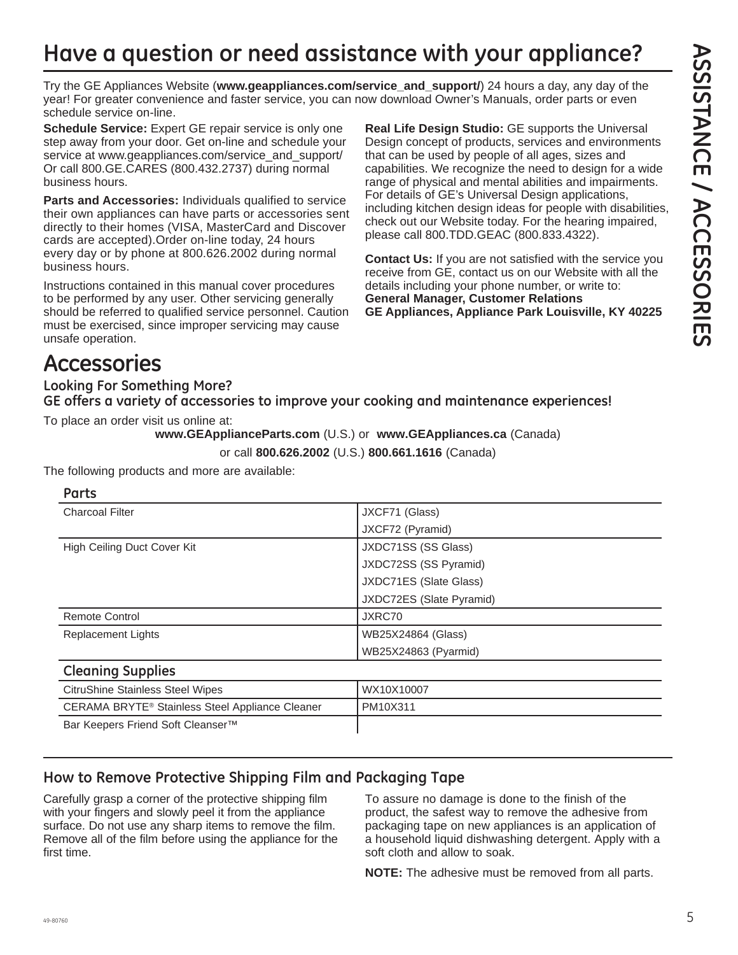# **Have a question or need assistance with your appliance?**

Try the GE Appliances Website (**www.geappliances.com/service\_and\_support/**) 24 hours a day, any day of the year! For greater convenience and faster service, you can now download Owner's Manuals, order parts or even schedule service on-line.

**Schedule Service:** Expert GE repair service is only one step away from your door. Get on-line and schedule your service at www.geappliances.com/service\_and\_support/ Or call 800.GE.CARES (800.432.2737) during normal business hours.

**Parts and Accessories:** Individuals qualified to service their own appliances can have parts or accessories sent directly to their homes (VISA, MasterCard and Discover cards are accepted).Order on-line today, 24 hours every day or by phone at 800.626.2002 during normal business hours.

Instructions contained in this manual cover procedures to be performed by any user. Other servicing generally should be referred to qualified service personnel. Caution must be exercised, since improper servicing may cause unsafe operation.

**Real Life Design Studio:** GE supports the Universal Design concept of products, services and environments that can be used by people of all ages, sizes and capabilities. We recognize the need to design for a wide range of physical and mental abilities and impairments. For details of GE's Universal Design applications, including kitchen design ideas for people with disabilities, check out our Website today. For the hearing impaired, please call 800.TDD.GEAC (800.833.4322).

**Contact Us:** If you are not satisfied with the service you receive from GE, contact us on our Website with all the details including your phone number, or write to: **General Manager, Customer Relations GE Appliances, Appliance Park Louisville, KY 40225**

## **Accessories**

**Looking For Something More? GE offers a variety of accessories to improve your cooking and maintenance experiences!**

To place an order visit us online at:

**www.GEApplianceParts.com** (U.S.) or **www.GEAppliances.ca** (Canada)

or call **800.626.2002** (U.S.) **800.661.1616** (Canada)

| Parts                                           |                          |  |  |
|-------------------------------------------------|--------------------------|--|--|
| <b>Charcoal Filter</b>                          | JXCF71 (Glass)           |  |  |
|                                                 | JXCF72 (Pyramid)         |  |  |
| High Ceiling Duct Cover Kit                     | JXDC71SS (SS Glass)      |  |  |
|                                                 | JXDC72SS (SS Pyramid)    |  |  |
|                                                 | JXDC71ES (Slate Glass)   |  |  |
|                                                 | JXDC72ES (Slate Pyramid) |  |  |
| <b>Remote Control</b>                           | JXRC70                   |  |  |
| <b>Replacement Lights</b>                       | WB25X24864 (Glass)       |  |  |
|                                                 | WB25X24863 (Pyarmid)     |  |  |
| <b>Cleaning Supplies</b>                        |                          |  |  |
| <b>CitruShine Stainless Steel Wipes</b>         | WX10X10007               |  |  |
| CERAMA BRYTE® Stainless Steel Appliance Cleaner | PM10X311                 |  |  |
| Bar Keepers Friend Soft Cleanser™               |                          |  |  |

The following products and more are available:

### **How to Remove Protective Shipping Film and Packaging Tape**

Carefully grasp a corner of the protective shipping film with your fingers and slowly peel it from the appliance surface. Do not use any sharp items to remove the film. Remove all of the film before using the appliance for the first time.

To assure no damage is done to the finish of the product, the safest way to remove the adhesive from packaging tape on new appliances is an application of a household liquid dishwashing detergent. Apply with a soft cloth and allow to soak.

**NOTE:** The adhesive must be removed from all parts.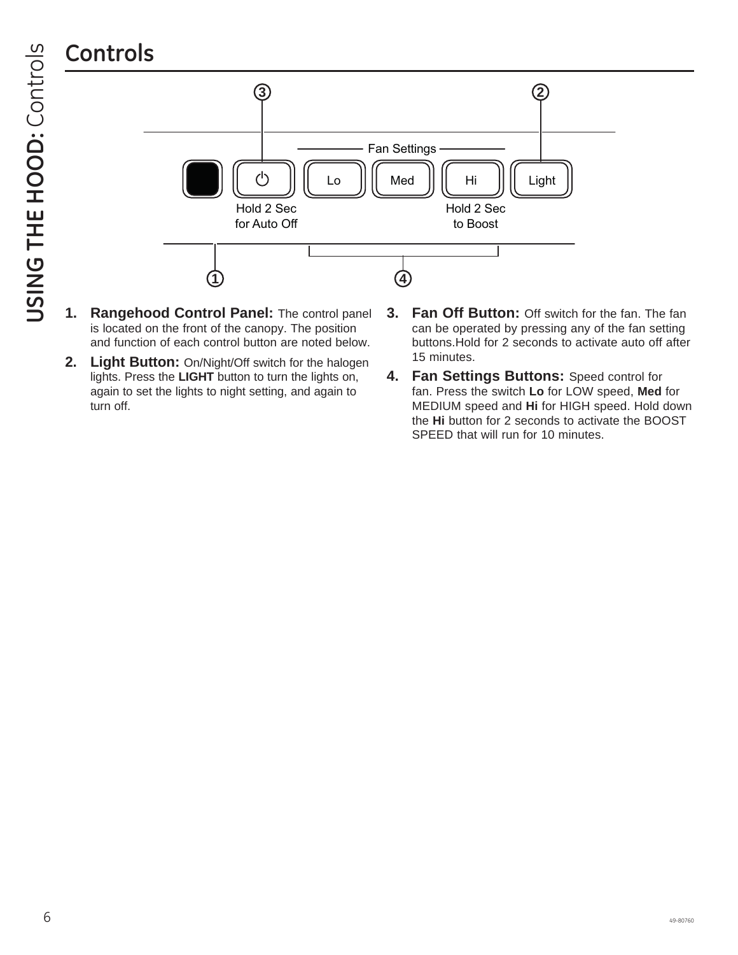

- **1. Rangehood Control Panel:** The control panel is located on the front of the canopy. The position and function of each control button are noted below.
- **2. Light Button:** On/Night/Off switch for the halogen lights. Press the **LIGHT** button to turn the lights on, again to set the lights to night setting, and again to turn off.
- **3. Fan Off Button:** Off switch for the fan. The fan can be operated by pressing any of the fan setting buttons.Hold for 2 seconds to activate auto off after 15 minutes.
- **4. Fan Settings Buttons:** Speed control for fan. Press the switch **Lo** for LOW speed, **Med** for MEDIUM speed and **Hi** for HIGH speed. Hold down the **Hi** button for 2 seconds to activate the BOOST SPEED that will run for 10 minutes.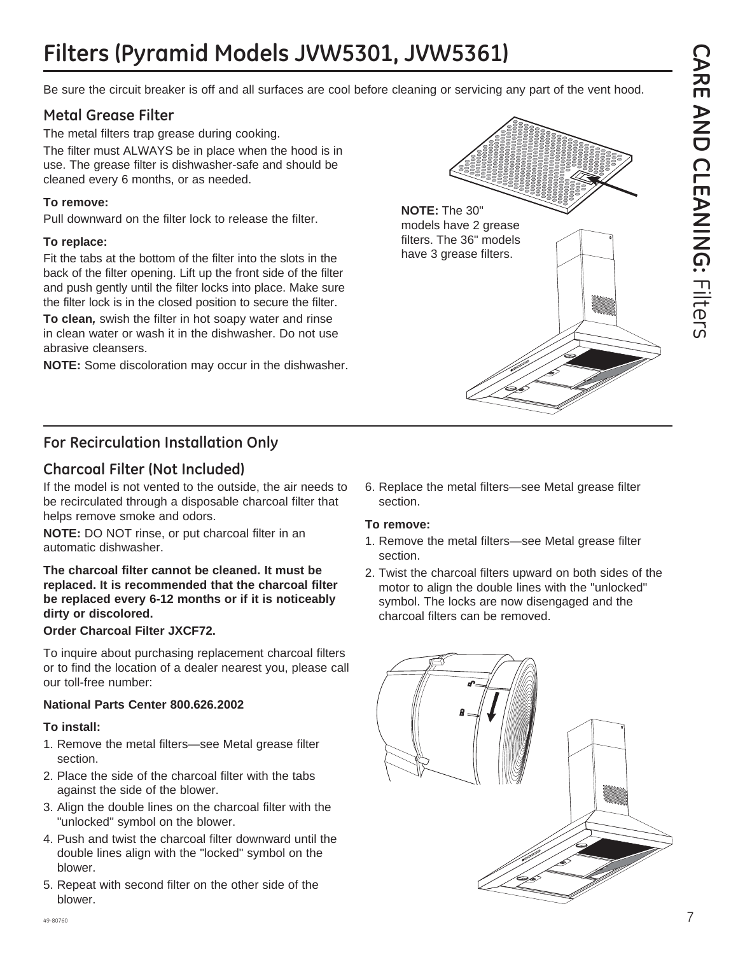# **Filters (Pyramid Models JVW5301, JVW5361)**

Be sure the circuit breaker is off and all surfaces are cool before cleaning or servicing any part of the vent hood.

### **Metal Grease Filter**

The metal filters trap grease during cooking. The filter must ALWAYS be in place when the hood is in use. The grease filter is dishwasher-safe and should be cleaned every 6 months, or as needed.

### **To remove:**

Pull downward on the filter lock to release the filter.

### **To replace:**

Fit the tabs at the bottom of the filter into the slots in the back of the filter opening. Lift up the front side of the filter and push gently until the filter locks into place. Make sure the filter lock is in the closed position to secure the filter.

**To clean***,* swish the filter in hot soapy water and rinse in clean water or wash it in the dishwasher. Do not use abrasive cleansers.

**NOTE:** Some discoloration may occur in the dishwasher.



### **Charcoal Filter (Not Included)**

If the model is not vented to the outside, the air needs to be recirculated through a disposable charcoal filter that helps remove smoke and odors.

**NOTE:** DO NOT rinse, or put charcoal filter in an automatic dishwasher.

**The charcoal filter cannot be cleaned. It must be replaced. It is recommended that the charcoal filter be replaced every 6-12 months or if it is noticeably dirty or discolored.**

### **Order Charcoal Filter JXCF72.**

To inquire about purchasing replacement charcoal filters or to find the location of a dealer nearest you, please call our toll-free number:

### **National Parts Center 800.626.2002**

### **To install:**

- 1. Remove the metal filters—see Metal grease filter section.
- 2. Place the side of the charcoal filter with the tabs against the side of the blower.
- 3. Align the double lines on the charcoal filter with the "unlocked" symbol on the blower.
- 4. Push and twist the charcoal filter downward until the double lines align with the "locked" symbol on the blower.
- 5. Repeat with second filter on the other side of the blower.

6. Replace the metal filters—see Metal grease filter section.

### **To remove:**

**NOTE:** The 30"

models have 2 grease filters. The 36" models have 3 grease filters.

- 1. Remove the metal filters—see Metal grease filter section.
- 2. Twist the charcoal filters upward on both sides of the motor to align the double lines with the "unlocked" symbol. The locks are now disengaged and the charcoal filters can be removed.

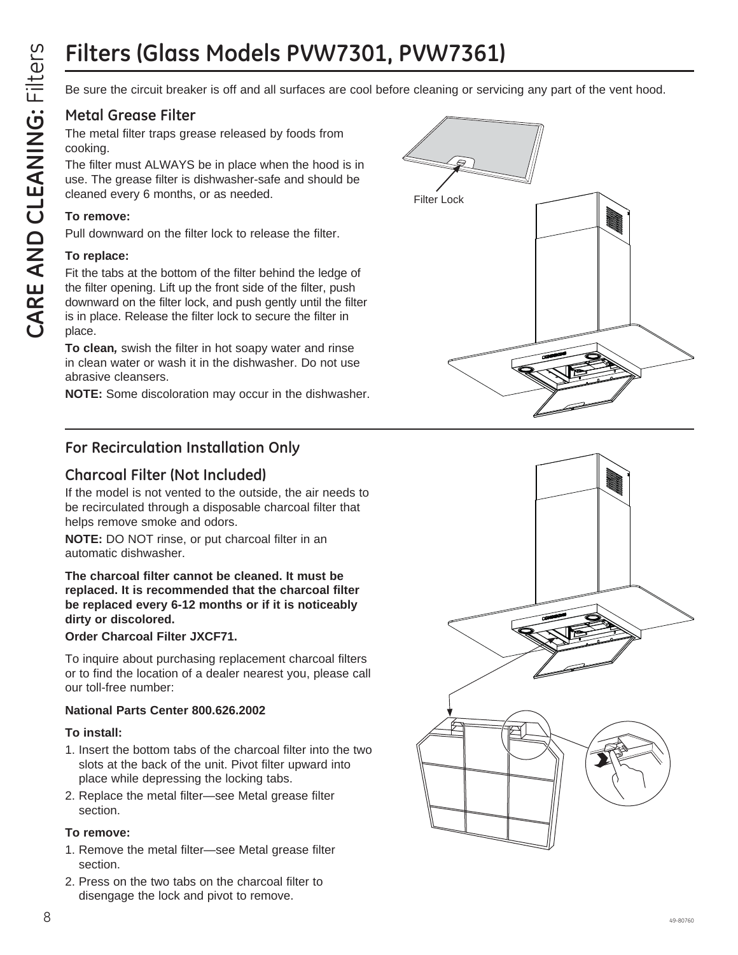Be sure the circuit breaker is off and all surfaces are cool before cleaning or servicing any part of the vent hood.

### **Metal Grease Filter**

The metal filter traps grease released by foods from cooking.

The filter must ALWAYS be in place when the hood is in use. The grease filter is dishwasher-safe and should be cleaned every 6 months, or as needed.

### **To remove:**

Pull downward on the filter lock to release the filter.

### **To replace:**

Fit the tabs at the bottom of the filter behind the ledge of the filter opening. Lift up the front side of the filter, push downward on the filter lock, and push gently until the filter is in place. Release the filter lock to secure the filter in place.

**To clean***,* swish the filter in hot soapy water and rinse in clean water or wash it in the dishwasher. Do not use abrasive cleansers.

**NOTE:** Some discoloration may occur in the dishwasher.

### **For Recirculation Installation Only**

### **Charcoal Filter (Not Included)**

If the model is not vented to the outside, the air needs to be recirculated through a disposable charcoal filter that helps remove smoke and odors.

**NOTE:** DO NOT rinse, or put charcoal filter in an automatic dishwasher.

**The charcoal filter cannot be cleaned. It must be replaced. It is recommended that the charcoal filter be replaced every 6-12 months or if it is noticeably dirty or discolored.**

**Order Charcoal Filter JXCF71.**

To inquire about purchasing replacement charcoal filters or to find the location of a dealer nearest you, please call our toll-free number:

### **National Parts Center 800.626.2002**

### **To install:**

- 1. Insert the bottom tabs of the charcoal filter into the two slots at the back of the unit. Pivot filter upward into place while depressing the locking tabs.
- 2. Replace the metal filter—see Metal grease filter section.

### **To remove:**

- 1. Remove the metal filter—see Metal grease filter section.
- 2. Press on the two tabs on the charcoal filter to disengage the lock and pivot to remove.



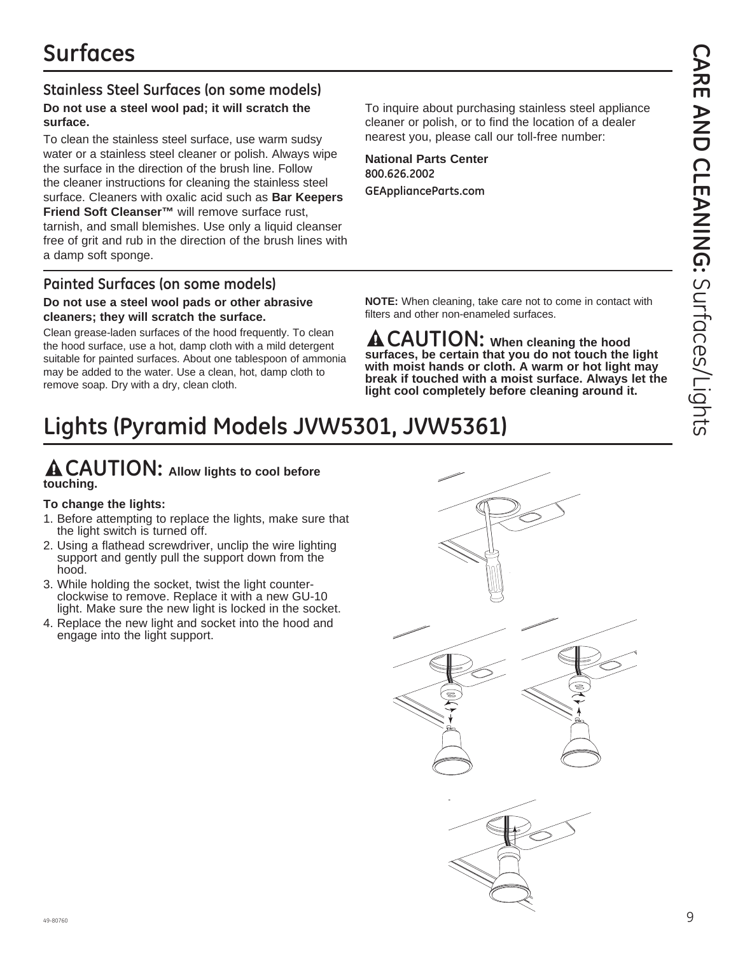### **Stainless Steel Surfaces (on some models) Do not use a steel wool pad; it will scratch the**

# **surface.**

To clean the stainless steel surface, use warm sudsy water or a stainless steel cleaner or polish. Always wipe the surface in the direction of the brush line. Follow the cleaner instructions for cleaning the stainless steel surface. Cleaners with oxalic acid such as **Bar Keepers Friend Soft Cleanser™** will remove surface rust, tarnish, and small blemishes. Use only a liquid cleanser free of grit and rub in the direction of the brush lines with a damp soft sponge.

### **Painted Surfaces (on some models)**

### **Do not use a steel wool pads or other abrasive cleaners; they will scratch the surface.**

Clean grease-laden surfaces of the hood frequently. To clean the hood surface, use a hot, damp cloth with a mild detergent suitable for painted surfaces. About one tablespoon of ammonia may be added to the water. Use a clean, hot, damp cloth to remove soap. Dry with a dry, clean cloth.

To inquire about purchasing stainless steel appliance cleaner or polish, or to find the location of a dealer nearest you, please call our toll-free number:

**National Parts Center 800.626.2002 GEApplianceParts.com**

**NOTE:** When cleaning, take care not to come in contact with filters and other non-enameled surfaces.

**CAUTION: When cleaning the hood surfaces, be certain that you do not touch the light with moist hands or cloth. A warm or hot light may break if touched with a moist surface. Always let the light cool completely before cleaning around it.**

# **Lights (Pyramid Models JVW5301, JVW5361)**

### **CAUTION: Allow lights to cool before touching.**

### **To change the lights:**

- 1. Before attempting to replace the lights, make sure that the light switch is turned off.
- 2. Using a flathead screwdriver, unclip the wire lighting support and gently pull the support down from the hood.
- 3. While holding the socket, twist the light counterclockwise to remove. Replace it with a new GU-10 light. Make sure the new light is locked in the socket.
- 4. Replace the new light and socket into the hood and engage into the light support.

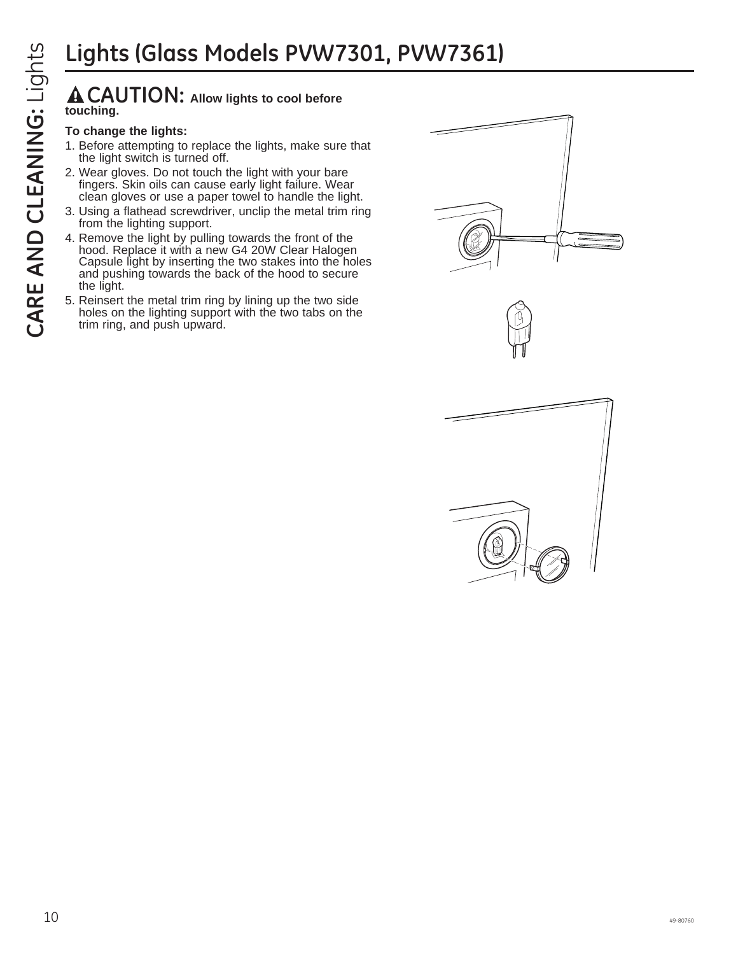### **CAUTION: Allow lights to cool before touching.**

### **To change the lights:**

- 1. Before attempting to replace the lights, make sure that the light switch is turned off.
- 2. Wear gloves. Do not touch the light with your bare fingers. Skin oils can cause early light failure. Wear clean gloves or use a paper towel to handle the light.
- 3. Using a flathead screwdriver, unclip the metal trim ring from the lighting support.
- CONTIGUTE AND THE SURFACE CONDUCTED THE REVENUE TO change the lights:<br>
To change the lights:<br>
To change the lights:<br>
To change the lights:<br>
1. Before attempting to replace the lights, make sure that<br>
the light switch is tu 4. Remove the light by pulling towards the front of the hood. Replace it with a new G4 20W Clear Halogen Capsule light by inserting the two stakes into the holes and pushing towards the back of the hood to secure the light.
	- 5. Reinsert the metal trim ring by lining up the two side holes on the lighting support with the two tabs on the trim ring, and push upward.





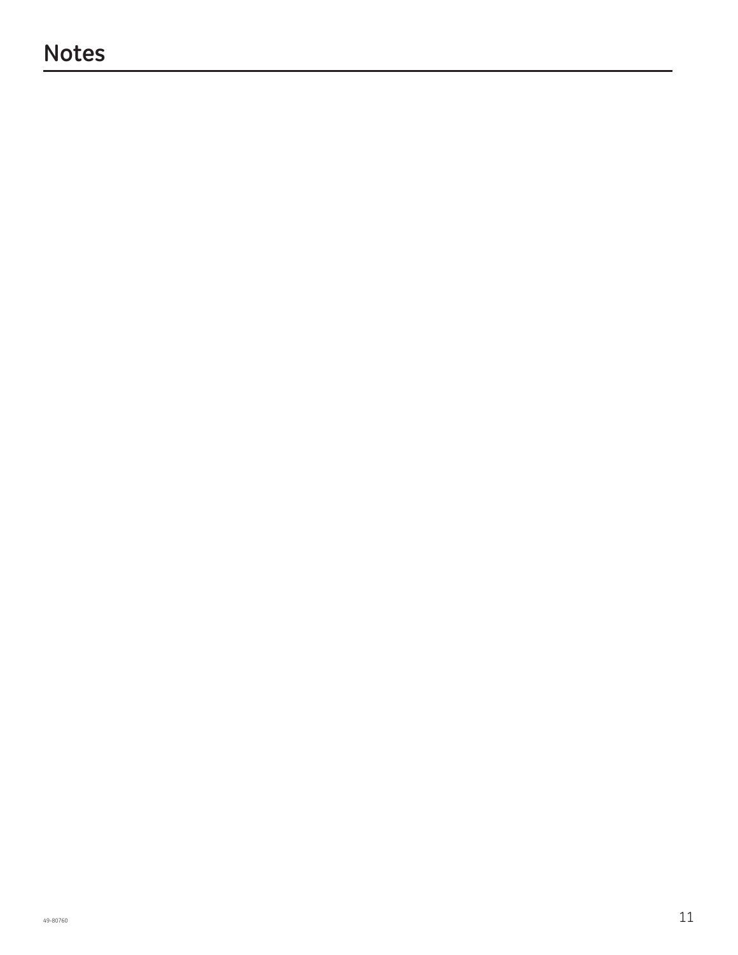### **Notes**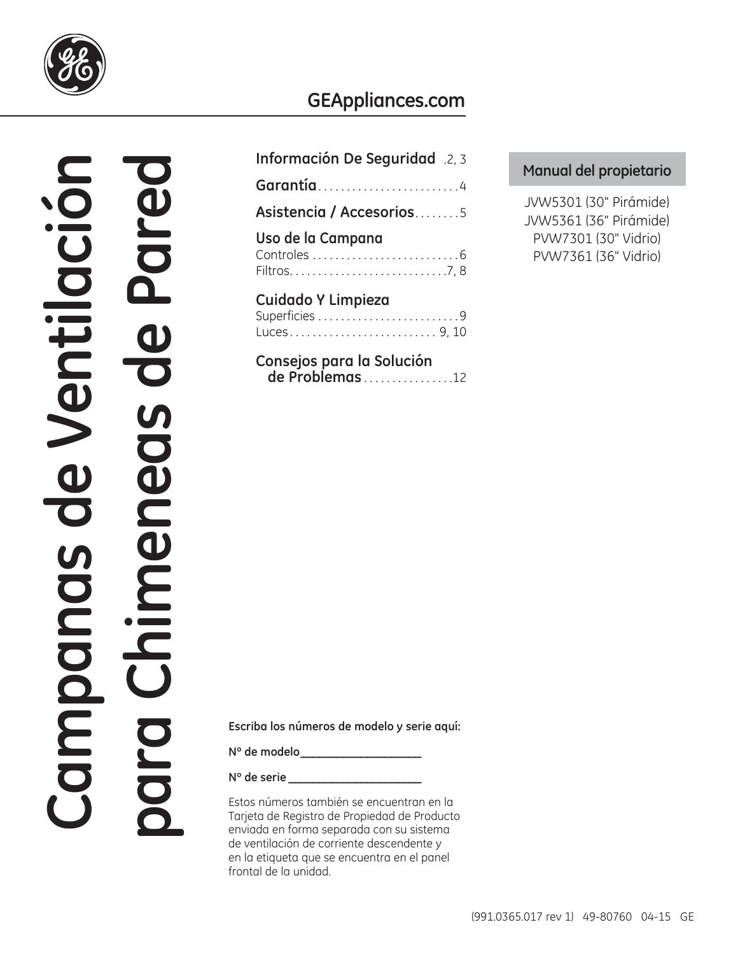

### **GEAppliances.com**

# **Campanas de Ventilación para Chimeneas de Pared Escriba los números de modelo y serie aquí:** ampanas de Ventilació

| Información De Seguridad .2, 3                    |
|---------------------------------------------------|
| Garantía4                                         |
| Asistencia / Accesorios5                          |
| Uso de la Campana                                 |
| Cuidado Y Limpieza<br>Superficies 9<br>Luces9, 10 |
| Consejos para la Solución                         |

 **de Problemas** . . . . . . . . . . . . . . . .12

### **Manual del propietario**

JVW5301 (30" Pirámide) JVW5361 (36" Pirámide) PVW7301 (30" Vidrio) PVW7361 (36" Vidrio)

**Nº de modelo \_\_\_\_\_\_\_\_\_\_\_\_\_\_\_\_\_\_\_\_**

**Nº de serie \_\_\_\_\_\_\_\_\_\_\_\_\_\_\_\_\_\_\_\_\_\_**

Estos números también se encuentran en la Tarjeta de Registro de Propiedad de Producto enviada en forma separada con su sistema de ventilación de corriente descendente y en la etiqueta que se encuentra en el panel frontal de la unidad.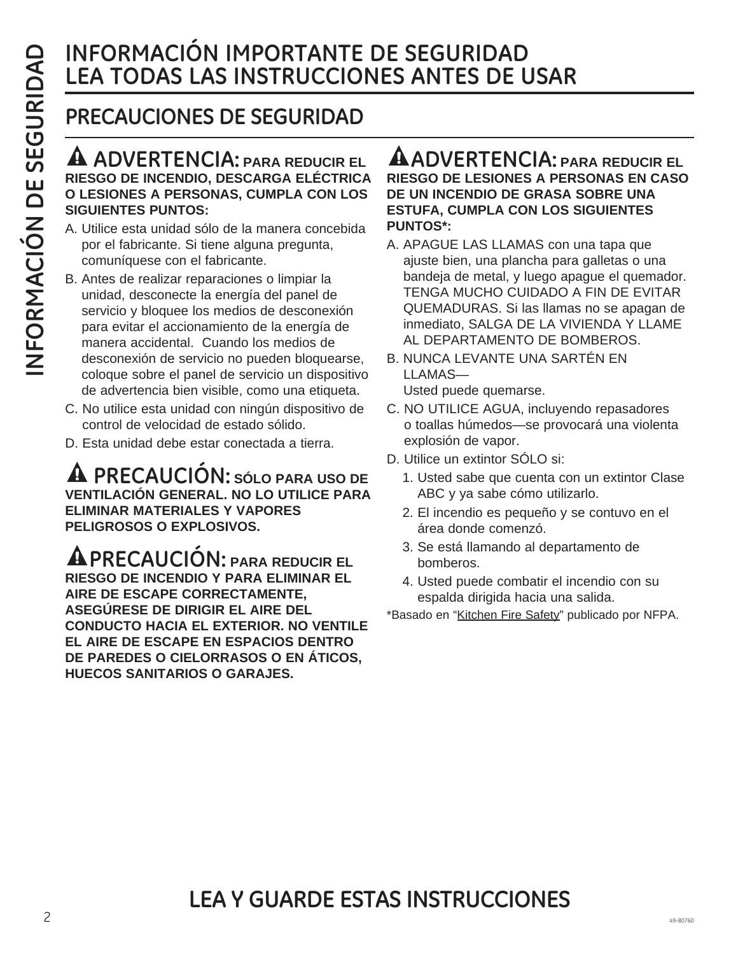### **INFORMACIÓN IMPORTANTE DE SEGURIDAD LEA TODAS LAS INSTRUCCIONES ANTES DE USAR**

### **PRECAUCIONES DE SEGURIDAD**

### **ADVERTENCIA: PARA REDUCIR EL RIESGO DE INCENDIO, DESCARGA ELÉCTRICA O LESIONES A PERSONAS, CUMPLA CON LOS SIGUIENTES PUNTOS:**

- A. Utilice esta unidad sólo de la manera concebida por el fabricante. Si tiene alguna pregunta, comuníquese con el fabricante.
- B. Antes de realizar reparaciones o limpiar la unidad, desconecte la energía del panel de servicio y bloquee los medios de desconexión para evitar el accionamiento de la energía de manera accidental. Cuando los medios de desconexión de servicio no pueden bloquearse, coloque sobre el panel de servicio un dispositivo de advertencia bien visible, como una etiqueta.
- C. No utilice esta unidad con ningún dispositivo de control de velocidad de estado sólido.
- D. Esta unidad debe estar conectada a tierra.

**PRECAUCIÓN: SÓLO PARA USO DE VENTILACIÓN GENERAL. NO LO UTILICE PARA ELIMINAR MATERIALES Y VAPORES PELIGROSOS O EXPLOSIVOS.** 

**PRECAUCIÓN: PARA REDUCIR EL RIESGO DE INCENDIO Y PARA ELIMINAR EL AIRE DE ESCAPE CORRECTAMENTE, ASEGÚRESE DE DIRIGIR EL AIRE DEL CONDUCTO HACIA EL EXTERIOR. NO VENTILE EL AIRE DE ESCAPE EN ESPACIOS DENTRO DE PAREDES O CIELORRASOS O EN ÁTICOS, HUECOS SANITARIOS O GARAJES.**

### **ADVERTENCIA: PARA REDUCIR EL RIESGO DE LESIONES A PERSONAS EN CASO DE UN INCENDIO DE GRASA SOBRE UNA ESTUFA, CUMPLA CON LOS SIGUIENTES PUNTOS\*:**

- A. APAGUE LAS LLAMAS con una tapa que ajuste bien, una plancha para galletas o una bandeja de metal, y luego apague el quemador. TENGA MUCHO CUIDADO A FIN DE EVITAR QUEMADURAS. Si las llamas no se apagan de inmediato, SALGA DE LA VIVIENDA Y LLAME AL DEPARTAMENTO DE BOMBEROS.
- B. NUNCA LEVANTE UNA SARTÉN EN LLAMAS—
	- Usted puede quemarse.
- C. NO UTILICE AGUA, incluyendo repasadores o toallas húmedos—se provocará una violenta explosión de vapor.
- D. Utilice un extintor SÓLO si:
	- 1. Usted sabe que cuenta con un extintor Clase ABC y ya sabe cómo utilizarlo.
	- 2. El incendio es pequeño y se contuvo en el área donde comenzó.
	- 3. Se está llamando al departamento de bomberos.
	- 4. Usted puede combatir el incendio con su espalda dirigida hacia una salida.

\* Basado en "Kitchen Fire Safety" publicado por NFPA.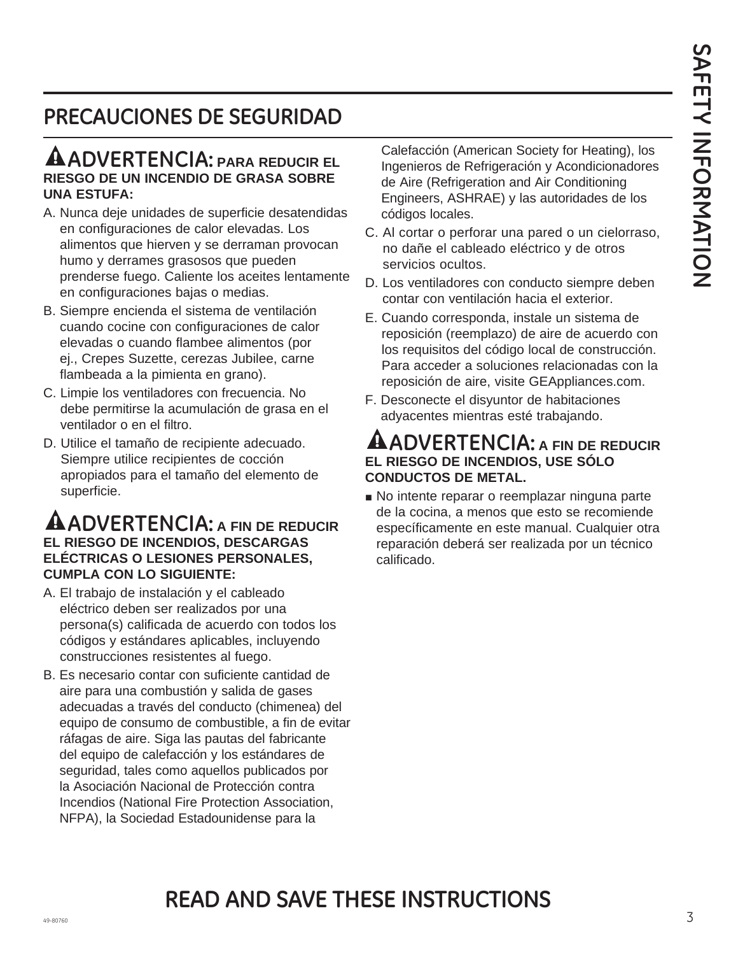### **PRECAUCIONES DE SEGURIDAD**

### **ADVERTENCIA: PARA REDUCIR EL RIESGO DE UN INCENDIO DE GRASA SOBRE UNA ESTUFA:**

- A. Nunca deje unidades de superficie desatendidas en configuraciones de calor elevadas. Los alimentos que hierven y se derraman provocan humo y derrames grasosos que pueden prenderse fuego. Caliente los aceites lentamente en configuraciones bajas o medias.
- B. Siempre encienda el sistema de ventilación cuando cocine con configuraciones de calor elevadas o cuando flambee alimentos (por ej., Crepes Suzette, cerezas Jubilee, carne flambeada a la pimienta en grano).
- C. Limpie los ventiladores con frecuencia. No debe permitirse la acumulación de grasa en el ventilador o en el filtro.
- D. Utilice el tamaño de recipiente adecuado. Siempre utilice recipientes de cocción apropiados para el tamaño del elemento de superficie.

### **ADVERTENCIA: A FIN DE REDUCIR EL RIESGO DE INCENDIOS, DESCARGAS ELÉCTRICAS O LESIONES PERSONALES, CUMPLA CON LO SIGUIENTE:**

- A. El trabajo de instalación y el cableado eléctrico deben ser realizados por una persona(s) calificada de acuerdo con todos los códigos y estándares aplicables, incluyendo construcciones resistentes al fuego.
- B. Es necesario contar con suficiente cantidad de aire para una combustión y salida de gases adecuadas a través del conducto (chimenea) del equipo de consumo de combustible, a fin de evitar ráfagas de aire. Siga las pautas del fabricante del equipo de calefacción y los estándares de seguridad, tales como aquellos publicados por la Asociación Nacional de Protección contra Incendios (National Fire Protection Association, NFPA), la Sociedad Estadounidense para la

Calefacción (American Society for Heating), los Ingenieros de Refrigeración y Acondicionadores de Aire (Refrigeration and Air Conditioning Engineers, ASHRAE) y las autoridades de los códigos locales.

- C. Al cortar o perforar una pared o un cielorraso, no dañe el cableado eléctrico y de otros servicios ocultos.
- D. Los ventiladores con conducto siempre deben contar con ventilación hacia el exterior.
- E. Cuando corresponda, instale un sistema de reposición (reemplazo) de aire de acuerdo con los requisitos del código local de construcción. Para acceder a soluciones relacionadas con la reposición de aire, visite GEAppliances.com.
- F. Desconecte el disyuntor de habitaciones adyacentes mientras esté trabajando.

### **ADVERTENCIA: A FIN DE REDUCIR EL RIESGO DE INCENDIOS, USE SÓLO CONDUCTOS DE METAL.**

No intente reparar o reemplazar ninguna parte de la cocina, a menos que esto se recomiende específicamente en este manual. Cualquier otra reparación deberá ser realizada por un técnico calificado.

### $\frac{3}{3}$ **READ AND SAVE THESE INSTRUCTIONS**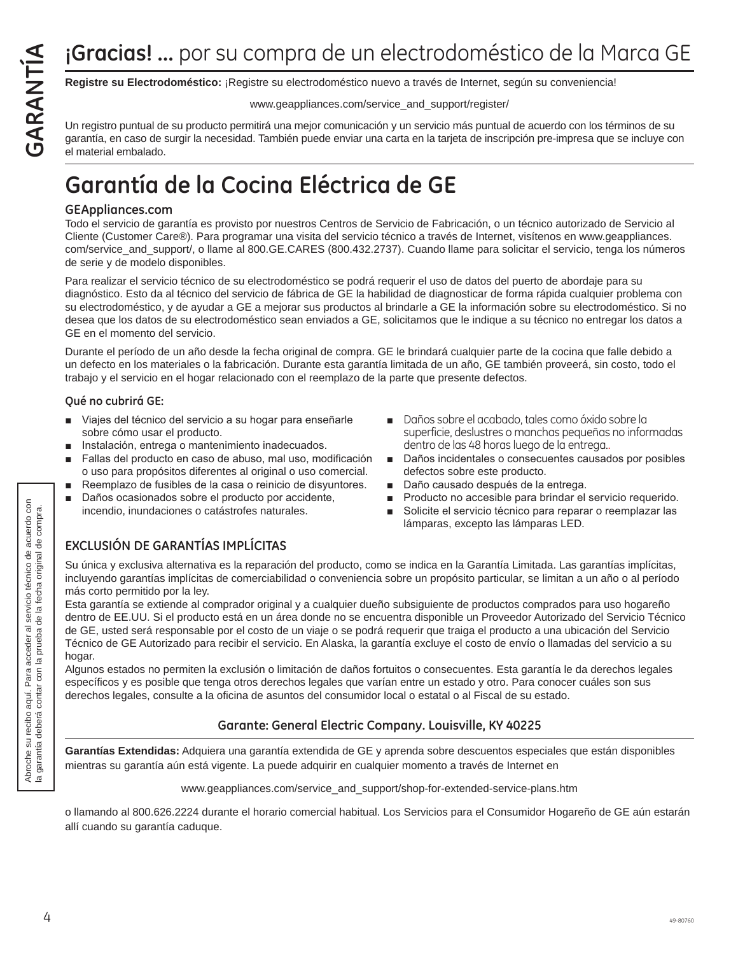**Registre su Electrodoméstico:** ¡Registre su electrodoméstico nuevo a través de Internet, según su conveniencia!

### www.geappliances.com/service\_and\_support/register/

**Gracias! ...** por su compra de un electrodoméstico de la Marca GE<br> **Registre su Electrodoméstico:** ¡Registre su electrodoméstico nuevo a través de Internet, según su conveniencia!<br>
Un registro puntual de su producto permi Un registro puntual de su producto permitirá una mejor comunicación y un servicio más puntual de acuerdo con los términos de su garantía, en caso de surgir la necesidad. También puede enviar una carta en la tarjeta de inscripción pre-impresa que se incluye con el material embalado.

## **Garantía de la Cocina Eléctrica de GE**

### **GEAppliances.com**

Todo el servicio de garantía es provisto por nuestros Centros de Servicio de Fabricación, o un técnico autorizado de Servicio al Cliente (Customer Care®). Para programar una visita del servicio técnico a través de Internet, visítenos en www.geappliances. com/service\_and\_support/, o llame al 800.GE.CARES (800.432.2737). Cuando llame para solicitar el servicio, tenga los números de serie y de modelo disponibles.

Para realizar el servicio técnico de su electrodoméstico se podrá requerir el uso de datos del puerto de abordaje para su diagnóstico. Esto da al técnico del servicio de fábrica de GE la habilidad de diagnosticar de forma rápida cualquier problema con su electrodoméstico, y de ayudar a GE a mejorar sus productos al brindarle a GE la información sobre su electrodoméstico. Si no desea que los datos de su electrodoméstico sean enviados a GE, solicitamos que le indique a su técnico no entregar los datos a GE en el momento del servicio.

Durante el período de un año desde la fecha original de compra. GE le brindará cualquier parte de la cocina que falle debido a un defecto en los materiales o la fabricación. Durante esta garantía limitada de un año, GE también proveerá, sin costo, todo el trabajo y el servicio en el hogar relacionado con el reemplazo de la parte que presente defectos.

### **Qué no cubrirá GE:**

- Viajes del técnico del servicio a su hogar para enseñarle sobre cómo usar el producto.
- **Instalación, entrega o mantenimiento inadecuados.**
- Fallas del producto en caso de abuso, mal uso, modificación o uso para propósitos diferentes al original o uso comercial.
- Reemplazo de fusibles de la casa o reinicio de disyuntores.
- Daños ocasionados sobre el producto por accidente, incendio, inundaciones o catástrofes naturales.
- Daños sobre el acabado, tales como óxido sobre la superficie, deslustres o manchas pequeñas no informadas dentro de las 48 horas luego de la entrega..
- Daños incidentales o consecuentes causados por posibles defectos sobre este producto.
- Daño causado después de la entrega.
- Producto no accesible para brindar el servicio requerido.
- Solicite el servicio técnico para reparar o reemplazar las lámparas, excepto las lámparas LED.

### **EXCLUSIÓN DE GARANTÍAS IMPLÍCITAS**

Su única y exclusiva alternativa es la reparación del producto, como se indica en la Garantía Limitada. Las garantías implícitas, incluyendo garantías implícitas de comerciabilidad o conveniencia sobre un propósito particular, se limitan a un año o al período más corto permitido por la ley.

Esta garantía se extiende al comprador original y a cualquier dueño subsiguiente de productos comprados para uso hogareño dentro de EE.UU. Si el producto está en un área donde no se encuentra disponible un Proveedor Autorizado del Servicio Técnico de GE, usted será responsable por el costo de un viaje o se podrá requerir que traiga el producto a una ubicación del Servicio Técnico de GE Autorizado para recibir el servicio. En Alaska, la garantía excluye el costo de envío o llamadas del servicio a su hogar.

Algunos estados no permiten la exclusión o limitación de daños fortuitos o consecuentes. Esta garantía le da derechos legales específicos y es posible que tenga otros derechos legales que varían entre un estado y otro. Para conocer cuáles son sus derechos legales, consulte a la oficina de asuntos del consumidor local o estatal o al Fiscal de su estado.

### **Garante: General Electric Company. Louisville, KY 40225**

**Garantías Extendidas:** Adquiera una garantía extendida de GE y aprenda sobre descuentos especiales que están disponibles mientras su garantía aún está vigente. La puede adquirir en cualquier momento a través de Internet en

www.geappliances.com/service\_and\_support/shop-for-extended-service-plans.htm

o llamando al 800.626.2224 durante el horario comercial habitual. Los Servicios para el Consumidor Hogareño de GE aún estarán allí cuando su garantía caduque.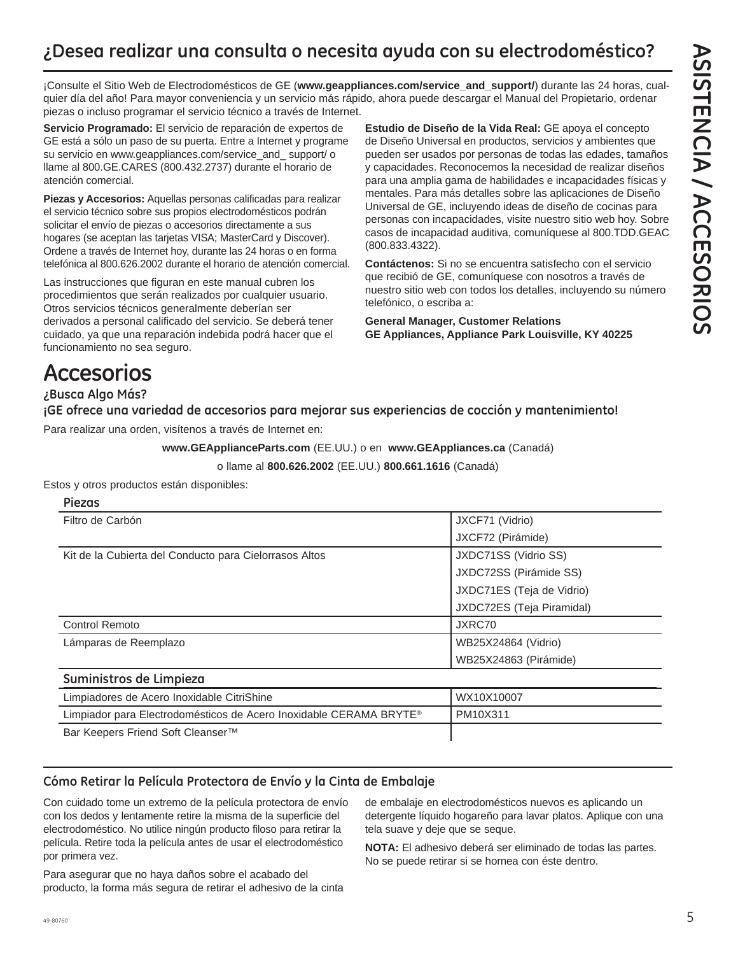### **¿Desea realizar una consulta o necesita ayuda con su electrodoméstico?**

¡Consulte el Sitio Web de Electrodomésticos de GE (**www.geappliances.com/service\_and\_support/**) durante las 24 horas, cualquier día del año! Para mayor conveniencia y un servicio más rápido, ahora puede descargar el Manual del Propietario, ordenar piezas o incluso programar el servicio técnico a través de Internet.

**Servicio Programado:** El servicio de reparación de expertos de GE está a sólo un paso de su puerta. Entre a Internet y programe su servicio en www.geappliances.com/service\_and\_ support/ o llame al 800.GE.CARES (800.432.2737) durante el horario de atención comercial.

**Piezas y Accesorios:** Aquellas personas calificadas para realizar el servicio técnico sobre sus propios electrodomésticos podrán solicitar el envío de piezas o accesorios directamente a sus hogares (se aceptan las tarjetas VISA; MasterCard y Discover). Ordene a través de Internet hoy, durante las 24 horas o en forma telefónica al 800.626.2002 durante el horario de atención comercial.

Las instrucciones que figuran en este manual cubren los procedimientos que serán realizados por cualquier usuario. Otros servicios técnicos generalmente deberían ser derivados a personal calificado del servicio. Se deberá tener cuidado, ya que una reparación indebida podrá hacer que el funcionamiento no sea seguro.

**Estudio de Diseño de la Vida Real:** GE apoya el concepto de Diseño Universal en productos, servicios y ambientes que pueden ser usados por personas de todas las edades, tamaños y capacidades. Reconocemos la necesidad de realizar diseños para una amplia gama de habilidades e incapacidades físicas y mentales. Para más detalles sobre las aplicaciones de Diseño Universal de GE, incluyendo ideas de diseño de cocinas para personas con incapacidades, visite nuestro sitio web hoy. Sobre casos de incapacidad auditiva, comuníquese al 800.TDD.GEAC (800.833.4322).

**Contáctenos:** Si no se encuentra satisfecho con el servicio que recibió de GE, comuníquese con nosotros a través de nuestro sitio web con todos los detalles, incluyendo su número telefónico, o escriba a:

**General Manager, Customer Relations GE Appliances, Appliance Park Louisville, KY 40225**

### **Accesorios**

**¿Busca Algo Más?**

**Piezas**

**¡GE ofrece una variedad de accesorios para mejorar sus experiencias de cocción y mantenimiento!**

Para realizar una orden, visítenos a través de Internet en:

**www.GEApplianceParts.com** (EE.UU.) o en **www.GEAppliances.ca** (Canadá)

o llame al **800.626.2002** (EE.UU.) **800.661.1616** (Canadá)

Estos y otros productos están disponibles:

| Piezas                                                 |                           |
|--------------------------------------------------------|---------------------------|
| Filtro de Carbón                                       | JXCF71 (Vidrio)           |
|                                                        | JXCF72 (Pirámide)         |
| Kit de la Cubierta del Conducto para Cielorrasos Altos | JXDC71SS (Vidrio SS)      |
|                                                        | JXDC72SS (Pirámide SS)    |
|                                                        | JXDC71ES (Teja de Vidrio) |
|                                                        | JXDC72ES (Teja Piramidal) |
| Control Remoto                                         | JXRC70                    |
| Lámparas de Reemplazo                                  | WB25X24864 (Vidrio)       |
|                                                        | WB25X24863 (Pirámide)     |
| Suministros de Limpieza                                |                           |
| Limpiadores de Acero Inoxidable CitriShine             | WX10X10007                |

| Limpiadores de Acero Inoxidable CitriShine                                     | WX10X10007 |
|--------------------------------------------------------------------------------|------------|
| Limpiador para Electrodomésticos de Acero Inoxidable CERAMA BRYTE <sup>®</sup> | PM10X311   |
| Bar Keepers Friend Soft Cleanser <sup>™</sup>                                  |            |

### **Cómo Retirar la Película Protectora de Envío y la Cinta de Embalaje**

Con cuidado tome un extremo de la película protectora de envío con los dedos y lentamente retire la misma de la superficie del electrodoméstico. No utilice ningún producto filoso para retirar la película. Retire toda la película antes de usar el electrodoméstico por primera vez.

Para asegurar que no haya daños sobre el acabado del producto, la forma más segura de retirar el adhesivo de la cinta de embalaje en electrodomésticos nuevos es aplicando un detergente líquido hogareño para lavar platos. Aplique con una tela suave y deje que se seque.

**NOTA:** El adhesivo deberá ser eliminado de todas las partes. No se puede retirar si se hornea con éste dentro.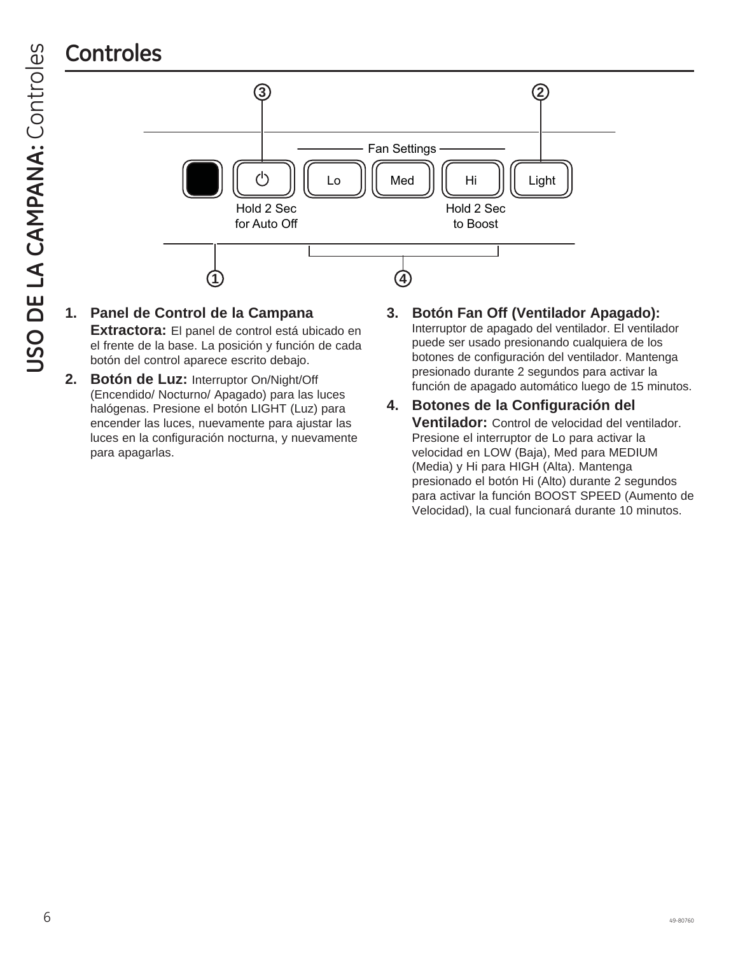

**1. Panel de Control de la Campana** 

**Extractora:** El panel de control está ubicado en el frente de la base. La posición y función de cada botón del control aparece escrito debajo.

**2. Botón de Luz:** Interruptor On/Night/Off (Encendido/ Nocturno/ Apagado) para las luces halógenas. Presione el botón LIGHT (Luz) para encender las luces, nuevamente para ajustar las luces en la configuración nocturna, y nuevamente para apagarlas.

### **3. Botón Fan Off (Ventilador Apagado):**

Interruptor de apagado del ventilador. El ventilador puede ser usado presionando cualquiera de los botones de configuración del ventilador. Mantenga presionado durante 2 segundos para activar la función de apagado automático luego de 15 minutos.

**4. Botones de la Configuración del Ventilador:** Control de velocidad del ventilador. Presione el interruptor de Lo para activar la velocidad en LOW (Baja), Med para MEDIUM (Media) y Hi para HIGH (Alta). Mantenga presionado el botón Hi (Alto) durante 2 segundos para activar la función BOOST SPEED (Aumento de Velocidad), la cual funcionará durante 10 minutos.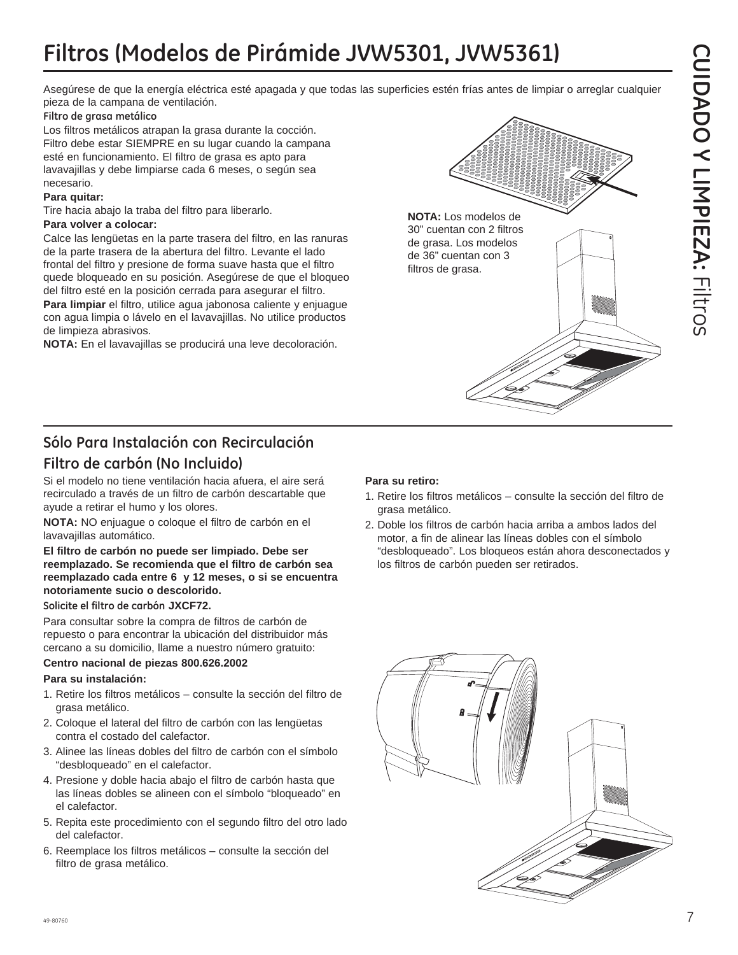Asegúrese de que la energía eléctrica esté apagada y que todas las superficies estén frías antes de limpiar o arreglar cualquier pieza de la campana de ventilación.

### **Filtro de grasa metálico**

Los filtros metálicos atrapan la grasa durante la cocción. Filtro debe estar SIEMPRE en su lugar cuando la campana esté en funcionamiento. El filtro de grasa es apto para lavavajillas y debe limpiarse cada 6 meses, o según sea necesario.

### **Para quitar:**

Tire hacia abajo la traba del filtro para liberarlo.

### **Para volver a colocar:**

Calce las lengüetas en la parte trasera del filtro, en las ranuras de la parte trasera de la abertura del filtro. Levante el lado frontal del filtro y presione de forma suave hasta que el filtro quede bloqueado en su posición. Asegúrese de que el bloqueo del filtro esté en la posición cerrada para asegurar el filtro.

**Para limpiar** el filtro, utilice agua jabonosa caliente y enjuague con agua limpia o lávelo en el lavavajillas. No utilice productos de limpieza abrasivos.

**NOTA:** En el lavavajillas se producirá una leve decoloración.



### **Filtro de carbón (No Incluido)**

Si el modelo no tiene ventilación hacia afuera, el aire será recirculado a través de un filtro de carbón descartable que ayude a retirar el humo y los olores.

**NOTA:** NO enjuague o coloque el filtro de carbón en el lavavajillas automático.

### **El filtro de carbón no puede ser limpiado. Debe ser reemplazado. Se recomienda que el filtro de carbón sea reemplazado cada entre 6 y 12 meses, o si se encuentra notoriamente sucio o descolorido.**

### **Solicite el filtro de carbón JXCF72.**

Para consultar sobre la compra de filtros de carbón de repuesto o para encontrar la ubicación del distribuidor más cercano a su domicilio, llame a nuestro número gratuito:

### **Centro nacional de piezas 800.626.2002**

### **Para su instalación:**

- 1. Retire los filtros metálicos consulte la sección del filtro de grasa metálico.
- 2. Coloque el lateral del filtro de carbón con las lengüetas contra el costado del calefactor.
- 3. Alinee las líneas dobles del filtro de carbón con el símbolo "desbloqueado" en el calefactor.
- 4. Presione y doble hacia abajo el filtro de carbón hasta que las líneas dobles se alineen con el símbolo "bloqueado" en el calefactor.
- 5. Repita este procedimiento con el segundo filtro del otro lado del calefactor.
- 6. Reemplace los filtros metálicos consulte la sección del filtro de grasa metálico.

### **Para su retiro:**

1. Retire los filtros metálicos – consulte la sección del filtro de grasa metálico.

**NOTA:** Los modelos de 30" cuentan con 2 filtros de grasa. Los modelos de 36" cuentan con 3 filtros de grasa.

2. Doble los filtros de carbón hacia arriba a ambos lados del motor, a fin de alinear las líneas dobles con el símbolo "desbloqueado". Los bloqueos están ahora desconectados y los filtros de carbón pueden ser retirados.

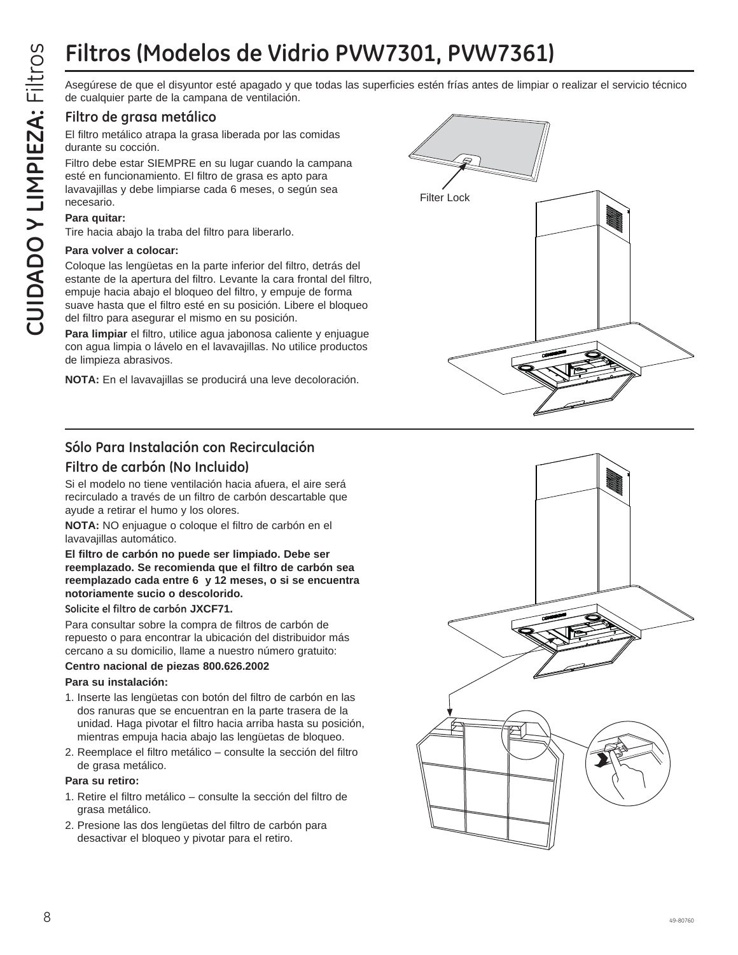Asegúrese de que el disyuntor esté apagado y que todas las superficies estén frías antes de limpiar o realizar el servicio técnico de cualquier parte de la campana de ventilación.

### **Filtro de grasa metálico**

El filtro metálico atrapa la grasa liberada por las comidas durante su cocción.

Filtro debe estar SIEMPRE en su lugar cuando la campana esté en funcionamiento. El filtro de grasa es apto para lavavajillas y debe limpiarse cada 6 meses, o según sea necesario.

### **Para quitar:**

Tire hacia abajo la traba del filtro para liberarlo.

### **Para volver a colocar:**

Coloque las lengüetas en la parte inferior del filtro, detrás del estante de la apertura del filtro. Levante la cara frontal del filtro, empuje hacia abajo el bloqueo del filtro, y empuje de forma suave hasta que el filtro esté en su posición. Libere el bloqueo del filtro para asegurar el mismo en su posición.

**Para limpiar** el filtro, utilice agua jabonosa caliente y enjuague con agua limpia o lávelo en el lavavajillas. No utilice productos de limpieza abrasivos.

**NOTA:** En el lavavajillas se producirá una leve decoloración.



### **Sólo Para Instalación con Recirculación**

### **Filtro de carbón (No Incluido)**

Si el modelo no tiene ventilación hacia afuera, el aire será recirculado a través de un filtro de carbón descartable que ayude a retirar el humo y los olores.

**NOTA:** NO enjuague o coloque el filtro de carbón en el lavavajillas automático.

### **El filtro de carbón no puede ser limpiado. Debe ser reemplazado. Se recomienda que el filtro de carbón sea reemplazado cada entre 6 y 12 meses, o si se encuentra notoriamente sucio o descolorido.**

**Solicite el filtro de carbón JXCF71.**

Para consultar sobre la compra de filtros de carbón de repuesto o para encontrar la ubicación del distribuidor más cercano a su domicilio, llame a nuestro número gratuito:

### **Centro nacional de piezas 800.626.2002**

### **Para su instalación:**

- 1. Inserte las lengüetas con botón del filtro de carbón en las dos ranuras que se encuentran en la parte trasera de la unidad. Haga pivotar el filtro hacia arriba hasta su posición, mientras empuja hacia abajo las lengüetas de bloqueo.
- 2. Reemplace el filtro metálico consulte la sección del filtro de grasa metálico.

### **Para su retiro:**

- 1. Retire el filtro metálico consulte la sección del filtro de grasa metálico.
- 2. Presione las dos lengüetas del filtro de carbón para desactivar el bloqueo y pivotar para el retiro.

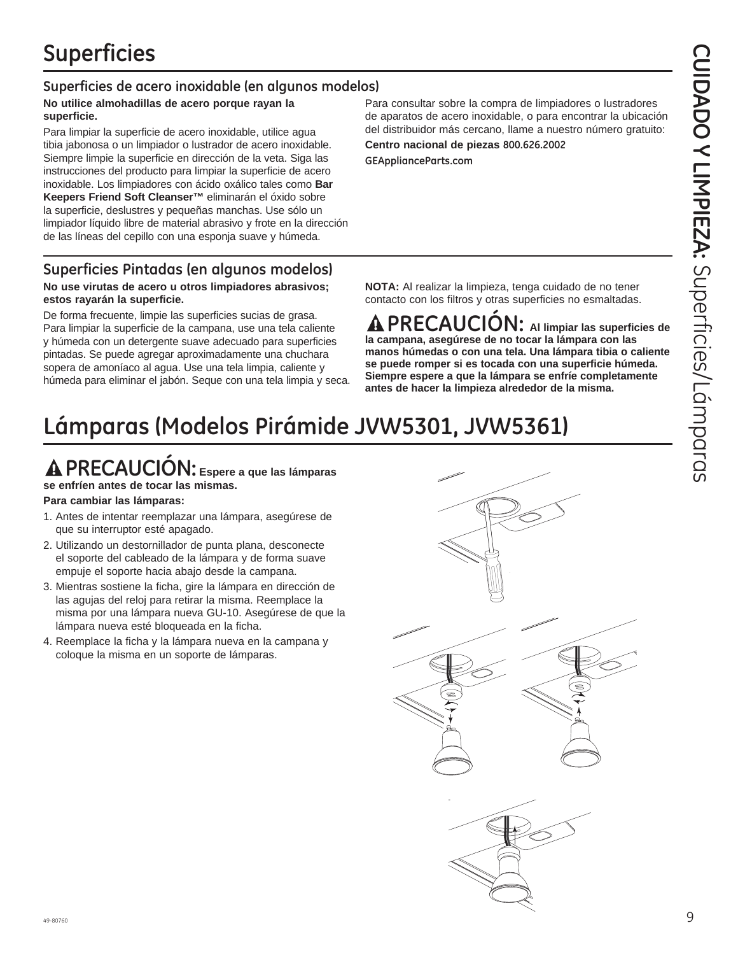### **Superficies de acero inoxidable (en algunos modelos)**

### **No utilice almohadillas de acero porque rayan la superficie.**

Para limpiar la superficie de acero inoxidable, utilice agua tibia jabonosa o un limpiador o lustrador de acero inoxidable. Siempre limpie la superficie en dirección de la veta. Siga las instrucciones del producto para limpiar la superficie de acero inoxidable. Los limpiadores con ácido oxálico tales como **Bar Keepers Friend Soft Cleanser™** eliminarán el óxido sobre la superficie, deslustres y pequeñas manchas. Use sólo un limpiador líquido libre de material abrasivo y frote en la dirección de las líneas del cepillo con una esponja suave y húmeda.

### **Superficies Pintadas (en algunos modelos)**

### **No use virutas de acero u otros limpiadores abrasivos; estos rayarán la superficie.**

De forma frecuente, limpie las superficies sucias de grasa. Para limpiar la superficie de la campana, use una tela caliente y húmeda con un detergente suave adecuado para superficies pintadas. Se puede agregar aproximadamente una chuchara sopera de amoníaco al agua. Use una tela limpia, caliente y húmeda para eliminar el jabón. Seque con una tela limpia y seca.

Para consultar sobre la compra de limpiadores o lustradores de aparatos de acero inoxidable, o para encontrar la ubicación del distribuidor más cercano, llame a nuestro número gratuito:

**Centro nacional de piezas 800.626.2002 GEApplianceParts.com**

**NOTA:** Al realizar la limpieza, tenga cuidado de no tener contacto con los filtros y otras superficies no esmaltadas.

**PRECAUCIÓN: Al limpiar las superficies de la campana, asegúrese de no tocar la lámpara con las manos húmedas o con una tela. Una lámpara tibia o caliente se puede romper si es tocada con una superficie húmeda. Siempre espere a que la lámpara se enfríe completamente antes de hacer la limpieza alrededor de la misma.**

# **Lámparas (Modelos Pirámide JVW5301, JVW5361)**

### **PRECAUCIÓN: Espere a que las lámparas se enfríen antes de tocar las mismas.**

### **Para cambiar las lámparas:**

- 1. Antes de intentar reemplazar una lámpara, asegúrese de que su interruptor esté apagado.
- 2. Utilizando un destornillador de punta plana, desconecte el soporte del cableado de la lámpara y de forma suave empuje el soporte hacia abajo desde la campana.
- 3. Mientras sostiene la ficha, gire la lámpara en dirección de las agujas del reloj para retirar la misma. Reemplace la misma por una lámpara nueva GU-10. Asegúrese de que la lámpara nueva esté bloqueada en la ficha.
- 4. Reemplace la ficha y la lámpara nueva en la campana y coloque la misma en un soporte de lámparas.

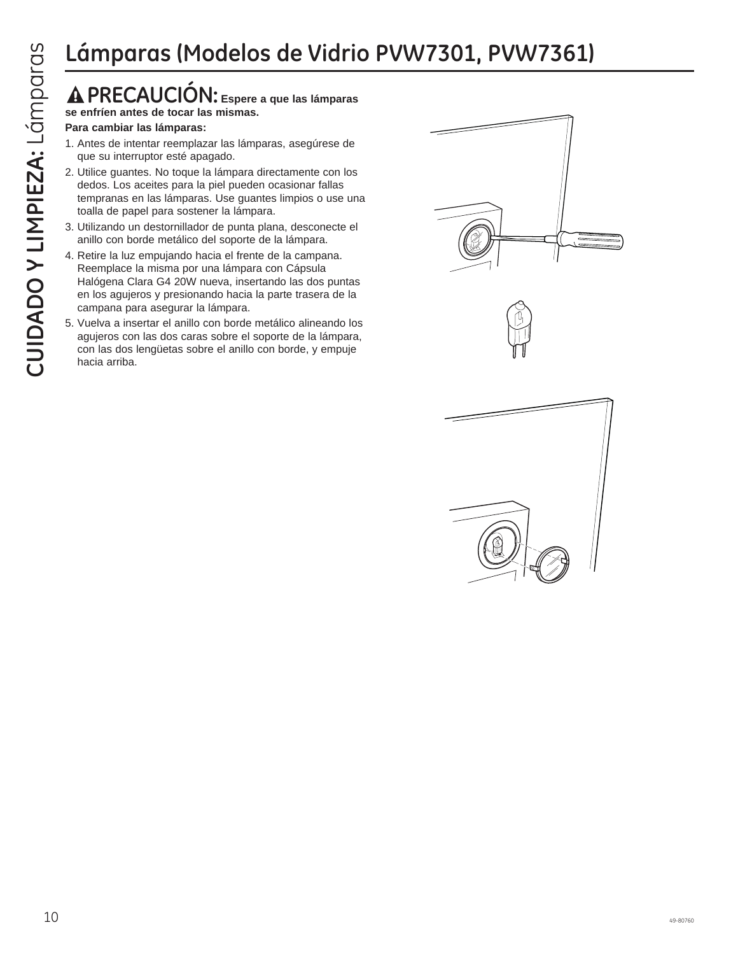### **PRECAUCIÓN: Espere a que las lámparas se enfríen antes de tocar las mismas.**

### **Para cambiar las lámparas:**

- 1. Antes de intentar reemplazar las lámparas, asegúrese de que su interruptor esté apagado.
- 2. Utilice guantes. No toque la lámpara directamente con los dedos. Los aceites para la piel pueden ocasionar fallas tempranas en las lámparas. Use guantes limpios o use una toalla de papel para sostener la lámpara.
- 3. Utilizando un destornillador de punta plana, desconecte el anillo con borde metálico del soporte de la lámpara.
- 4. Retire la luz empujando hacia el frente de la campana. Reemplace la misma por una lámpara con Cápsula Halógena Clara G4 20W nueva, insertando las dos puntas en los agujeros y presionando hacia la parte trasera de la campana para asegurar la lámpara.
- 5. Vuelva a insertar el anillo con borde metálico alineando los agujeros con las dos caras sobre el soporte de la lámpara, con las dos lengüetas sobre el anillo con borde, y empuje hacia arriba.

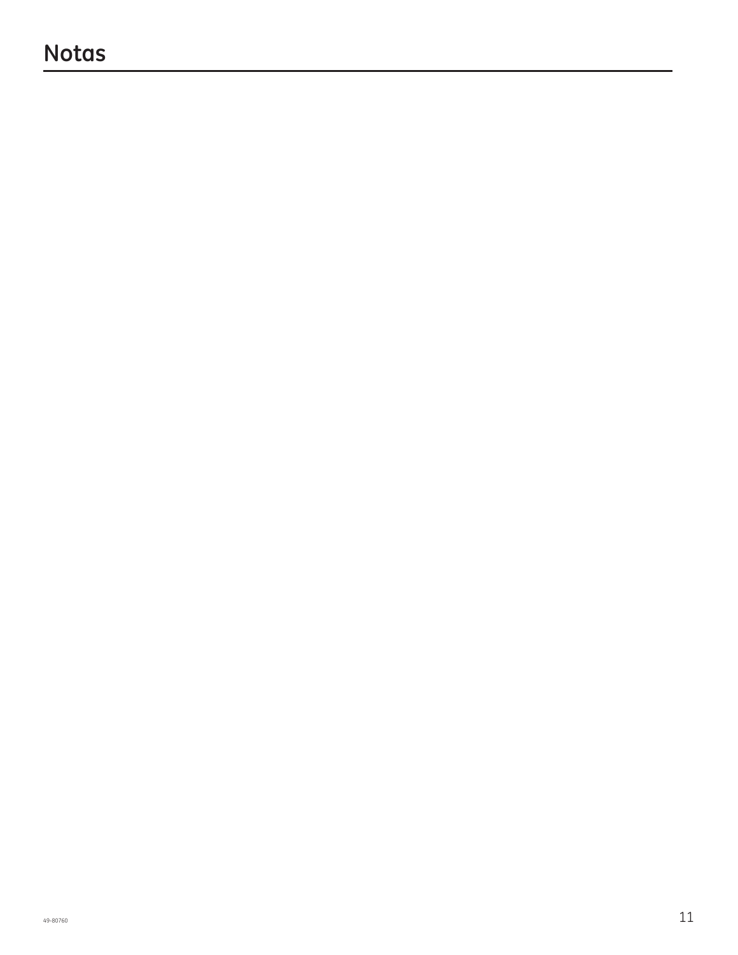### **Notas**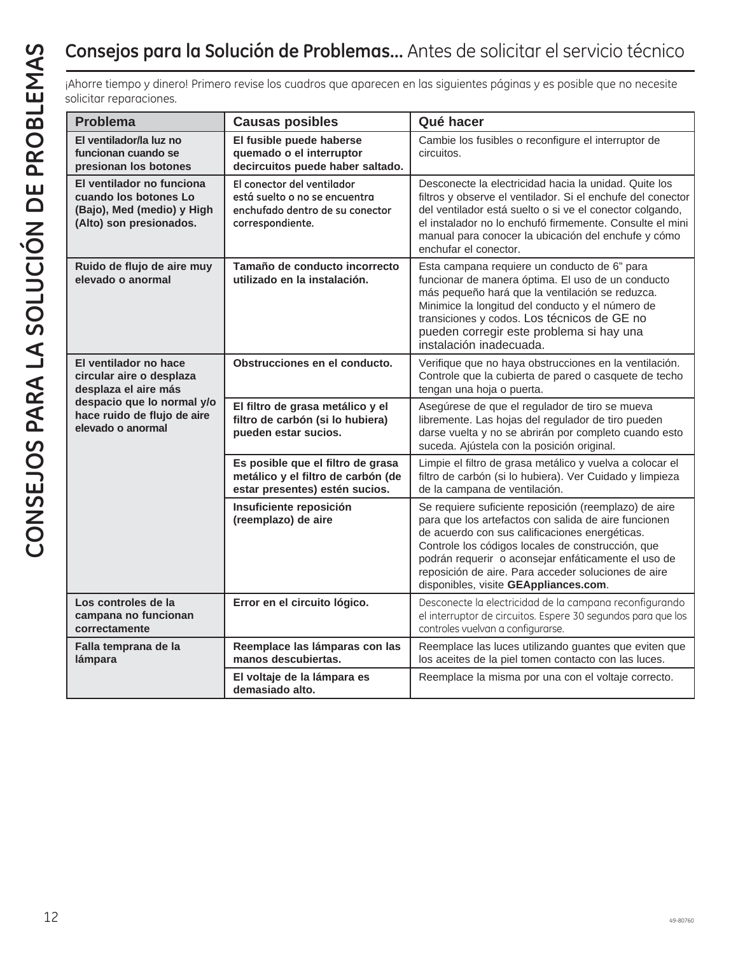| solicitar reparaciones.                                                                                                                                     |                                                                                                                    | ¡Ahorre tiempo y dinero! Primero revise los cuadros que aparecen en las siguientes páginas y es posible que no necesite                                                                                                                                                                                                                                                     |
|-------------------------------------------------------------------------------------------------------------------------------------------------------------|--------------------------------------------------------------------------------------------------------------------|-----------------------------------------------------------------------------------------------------------------------------------------------------------------------------------------------------------------------------------------------------------------------------------------------------------------------------------------------------------------------------|
| <b>Problema</b>                                                                                                                                             | <b>Causas posibles</b>                                                                                             | Qué hacer                                                                                                                                                                                                                                                                                                                                                                   |
| El ventilador/la luz no<br>funcionan cuando se<br>presionan los botones                                                                                     | El fusible puede haberse<br>quemado o el interruptor<br>decircuitos puede haber saltado.                           | Cambie los fusibles o reconfigure el interruptor de<br>circuitos.                                                                                                                                                                                                                                                                                                           |
| El ventilador no funciona<br>cuando los botones Lo<br>(Bajo), Med (medio) y High<br>(Alto) son presionados.                                                 | El conector del ventilador<br>está suelto o no se encuentra<br>enchufado dentro de su conector<br>correspondiente. | Desconecte la electricidad hacia la unidad. Quite los<br>filtros y observe el ventilador. Si el enchufe del conector<br>del ventilador está suelto o si ve el conector colgando,<br>el instalador no lo enchufó firmemente. Consulte el mini<br>manual para conocer la ubicación del enchufe y cómo<br>enchufar el conector.                                                |
| Ruido de flujo de aire muy<br>elevado o anormal                                                                                                             | Tamaño de conducto incorrecto<br>utilizado en la instalación.                                                      | Esta campana requiere un conducto de 6" para<br>funcionar de manera óptima. El uso de un conducto<br>más pequeño hará que la ventilación se reduzca.<br>Minimice la longitud del conducto y el número de<br>transiciones y codos. Los técnicos de GE no<br>pueden corregir este problema si hay una<br>instalación inadecuada.                                              |
| El ventilador no hace<br>circular aire o desplaza<br>desplaza el aire más<br>despacio que lo normal y/o<br>hace ruido de flujo de aire<br>elevado o anormal | Obstrucciones en el conducto.                                                                                      | Verifique que no haya obstrucciones en la ventilación.<br>Controle que la cubierta de pared o casquete de techo<br>tengan una hoja o puerta.                                                                                                                                                                                                                                |
|                                                                                                                                                             | El filtro de grasa metálico y el<br>filtro de carbón (si lo hubiera)<br>pueden estar sucios.                       | Asegúrese de que el regulador de tiro se mueva<br>libremente. Las hojas del regulador de tiro pueden<br>darse vuelta y no se abrirán por completo cuando esto<br>suceda. Ajústela con la posición original.                                                                                                                                                                 |
|                                                                                                                                                             | Es posible que el filtro de grasa<br>metálico y el filtro de carbón (de<br>estar presentes) estén sucios.          | Limpie el filtro de grasa metálico y vuelva a colocar el<br>filtro de carbón (si lo hubiera). Ver Cuidado y limpieza<br>de la campana de ventilación.                                                                                                                                                                                                                       |
|                                                                                                                                                             | Insuficiente reposición<br>(reemplazo) de aire                                                                     | Se requiere suficiente reposición (reemplazo) de aire<br>para que los artefactos con salida de aire funcionen<br>de acuerdo con sus calificaciones energéticas.<br>Controle los códigos locales de construcción, que<br>podrán requerir o aconsejar enfáticamente el uso de<br>reposición de aire. Para acceder soluciones de aire<br>disponibles, visite GEAppliances.com. |
| Los controles de la<br>campana no funcionan<br>correctamente                                                                                                | Error en el circuito lógico.                                                                                       | Desconecte la electricidad de la campana reconfigurando<br>el interruptor de circuitos. Espere 30 segundos para que los<br>controles vuelvan a configurarse.                                                                                                                                                                                                                |
| Falla temprana de la<br>lámpara                                                                                                                             | Reemplace las lámparas con las<br>manos descubiertas.                                                              | Reemplace las luces utilizando guantes que eviten que<br>los aceites de la piel tomen contacto con las luces.                                                                                                                                                                                                                                                               |
|                                                                                                                                                             | El voltaje de la lámpara es<br>demasiado alto.                                                                     | Reemplace la misma por una con el voltaje correcto.                                                                                                                                                                                                                                                                                                                         |